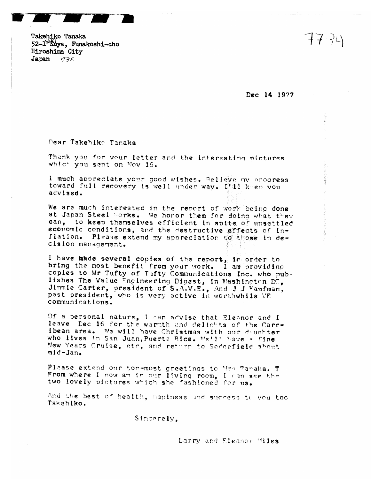Takehiko Tanaka 52-1 koya, Funakoshi-cho Hiroshima City Japan  $736$ 

Dec 14 1977

Dear Takehiko Tanaka

Thank you for your letter and the interesting pictures which you sent on Nov 16.

I much appreciate your good wishes. Believe my progress toward full recovery is well under way. Itll keep you advised.

We are much interested in the report of work being done at Japan Steel Works. We horor them for doing what they can, to keep themselves efficient in spite of unsettled economic conditions, and the destructive effects of inflation. Please extend my appreciation to those in decision management.

I have made several copies of the report, in order to bring the most benefit from your work. I am providing copies to Mr Tufty of Tufty Communications Inc. who publishes The Value Engineering Digest, in Washington DC, Jimmie Carter, president of S.A.V.E., And J J Kaufman, past president, who is very active in worthwhile VE communications.

Of a personal nature, I can advise that Eleanor and I leave Dec 16 for the warmth and delichts of the Carribean area. We will have Christmas with our deuchter who lives in San Juan, Puerta Rica. Wa'll have a fine New Years Cruise, etc. and retorn to Seddefield about mid-Jan.

Please extend our ton-most greetings to Mrs Taraka. T From where I now am in our living room. I can see the two lovely pictures which she fashioned for us.

And the best of health, hapiness and success to you too Takehiko.

Sincerely,

Larry and Eleanor Miles